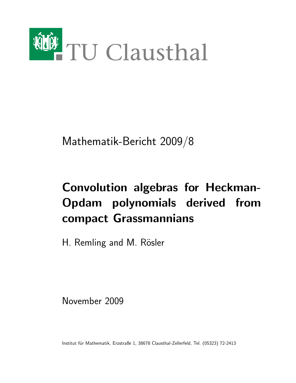

Mathematik-Bericht 2009/8

# Convolution algebras for Heckman-Opdam polynomials derived from compact Grassmannians

H. Remling and M. Rösler

November 2009

Institut für Mathematik, Erzstraße 1, 38678 Clausthal-Zellerfeld, Tel. (05323) 72-2413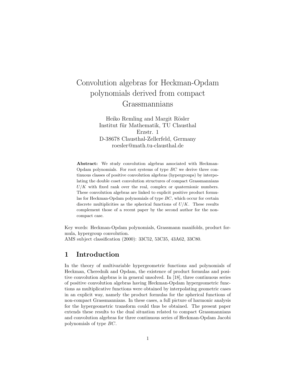## Convolution algebras for Heckman-Opdam polynomials derived from compact Grassmannians

Heiko Remling and Margit Rösler Institut für Mathematik, TU Clausthal Erzstr. 1 D-38678 Clausthal-Zellerfeld, Germany roesler@math.tu-clausthal.de

Abstract: We study convolution algebras associated with Heckman-Opdam polynomials. For root systems of type  $BC$  we derive three continuous classes of positive convolution algebras (hypergroups) by interpolating the double coset convolution structures of compact Grassmannians  $U/K$  with fixed rank over the real, complex or quaternionic numbers. These convolution algebras are linked to explicit positive product formulas for Heckman-Opdam polynomials of type BC, which occur for certain discrete multiplicities as the spherical functions of  $U/K$ . These results complement those of a recent paper by the second author for the noncompact case.

Key words: Heckman-Opdam polynomials, Grassmann manifolds, product formula, hypergroup convolution. AMS subject classification (2000): 33C52, 53C35, 43A62, 33C80.

#### 1 Introduction

In the theory of multivariable hypergeometric functions and polynomials of Heckman, Cherednik and Opdam, the existence of product formulas and positive convolution algebras is in general unsolved. In [18], three continuous series of positive convolution algebras having Heckman-Opdam hypergeometric functions as multiplicative functions were obtained by interpolating geometric cases in an explicit way, namely the product formulas for the spherical functions of non-compact Grassmannians. In these cases, a full picture of harmonic analysis for the hypergeometric transform could thus be obtained. The present paper extends these results to the dual situation related to compact Grassmannians and convolution algebras for three continuous series of Heckman-Opdam Jacobi polynomials of type BC.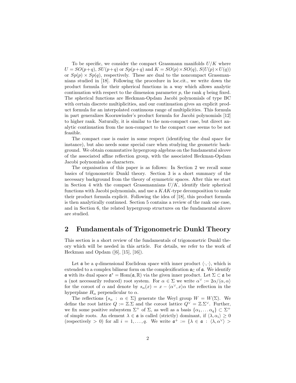To be specific, we consider the compact Grassmann manifolds  $U/K$  where  $U = SO(p+q)$ ,  $SU(p+q)$  or  $Sp(p+q)$  and  $K = SO(p) \times SO(q)$ ,  $S(U(p) \times U(q))$ or  $Sp(p) \times Sp(q)$ , respectively. These are dual to the noncompact Grassmannians studied in [18]. Following the procedure in loc.cit., we write down the product formula for their spherical functions in a way which allows analytic continuation with respect to the dimension parameter  $p$ , the rank  $q$  being fixed. The spherical functions are Heckman-Opdam Jacobi polynomials of type BC with certain discrete multiplicities, and our continuation gives an explicit product formula for an interpolated continuous range of multiplicities. This formula in part generalizes Koornwinder's product formula for Jacobi polynomials [12] to higher rank. Naturally, it is similar to the non-compact case, but direct analytic continuation from the non-compact to the compact case seems to be not feasible.

The compact case is easier in some respect (identifying the dual space for instance), but also needs some special care when studying the geometric background. We obtain commutative hypergroup algebras on the fundamental alcove of the associated affine reflection group, with the associated Heckman-Opdam Jacobi polynomials as characters.

The organisation of this paper is as follows: In Section 2 we recall some basics of trigonometric Dunkl theory. Section 3 is a short summary of the necessary background from the theory of symmetric spaces. After this we start in Section 4 with the compact Grassmannians  $U/K$ , identify their spherical functions with Jacobi polynomials, and use a  $KAK$ -type decomposition to make their product formula explicit. Following the idea of [18], this product formula is then analytically continued. Section 5 contains a review of the rank one case, and in Section 6, the related hypergroup structures on the fundamental alcove are studied.

#### 2 Fundamentals of Trigonometric Dunkl Theory

This section is a short review of the fundamentals of trigonometric Dunkl theory which will be needed in this article. For details, we refer to the work of Heckman and Opdam ([6], [15], [16]).

Let  $\alpha$  be a q-dimensional Euclidean space with inner product  $\langle \cdot, \cdot \rangle$ , which is extended to a complex bilinear form on the complexification  $\mathfrak{a}_{\mathbb{C}}$  of  $\mathfrak{a}$ . We identify **a** with its dual space  $\mathfrak{a}^* = \text{Hom}(\mathfrak{a}, \mathbb{R})$  via the given inner product. Let  $\Sigma \subset \mathfrak{a}$  be a (not necessarily reduced) root system. For  $\alpha \in \Sigma$  we write  $\alpha^{\vee} := 2\alpha/\langle \alpha, \alpha \rangle$ for the coroot of  $\alpha$  and denote by  $s_{\alpha}(x) = x - \langle \alpha^{\vee}, x \rangle \alpha$  the reflection in the hyperplane  $H_{\alpha}$  perpendicular to  $\alpha$ .

The reflections  $\{s_\alpha : \alpha \in \Sigma\}$  generate the Weyl group  $W = W(\Sigma)$ . We define the root lattice  $Q := \mathbb{Z} \Sigma$  and the coroot lattice  $Q^{\vee} = \mathbb{Z} \Sigma^{\vee}$ . Further, we fix some positive subsystem  $\Sigma^+$  of  $\Sigma$ , as well as a basis  $\{\alpha_1, \dots \alpha_q\} \subset \Sigma^+$ of simple roots. An element  $\lambda \in \mathfrak{a}$  is called (strictly) dominant, if  $\langle \lambda, \alpha_i \rangle \geq 0$ (respectively > 0) for all  $i = 1, ..., q$ . We write  $\mathfrak{a}^+ := \{ \lambda \in \mathfrak{a} : \langle \lambda, \alpha^\vee \rangle >$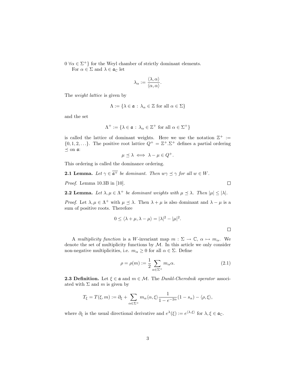$0 \forall \alpha \in \Sigma^+$ } for the Weyl chamber of strictly dominant elements.

For  $\alpha \in \Sigma$  and  $\lambda \in \mathfrak{a}_{\mathbb{C}}$  let

$$
\lambda_{\alpha} := \frac{\langle \lambda, \alpha \rangle}{\langle \alpha, \alpha \rangle}.
$$

The weight lattice is given by

$$
\Lambda := \{ \lambda \in \mathfrak{a} \, : \, \lambda_{\alpha} \in \mathbb{Z} \text{ for all } \alpha \in \Sigma \}
$$

and the set

$$
\Lambda^+ := \{ \lambda \in \mathfrak{a} \, : \, \lambda_\alpha \in \mathbb{Z}^+ \text{ for all } \alpha \in \Sigma^+ \}
$$

is called the lattice of dominant weights. Here we use the notation  $\mathbb{Z}^+ :=$  $\{0, 1, 2, \ldots\}$ . The positive root lattice  $Q^+ = \mathbb{Z}^+ \cdot \Sigma^+$  defines a partial ordering  $\preceq$  on  $a$ :

$$
\mu \preceq \lambda \iff \lambda - \mu \in Q^+.
$$

This ordering is called the dominance ordering.

**2.1 Lemma.** Let  $\gamma \in \overline{\mathfrak{a}^+}$  be dominant. Then  $w\gamma \preceq \gamma$  for all  $w \in W$ .

Proof. Lemma 10.3B in [10].

 $\Box$ 

 $\Box$ 

**2.2 Lemma.** Let  $\lambda, \mu \in \Lambda^+$  be dominant weights with  $\mu \leq \lambda$ . Then  $|\mu| \leq |\lambda|$ .

*Proof.* Let  $\lambda, \mu \in \Lambda^+$  with  $\mu \leq \lambda$ . Then  $\lambda + \mu$  is also dominant and  $\lambda - \mu$  is a sum of positive roots. Therefore

$$
0 \le \langle \lambda + \mu, \lambda - \mu \rangle = |\lambda|^2 - |\mu|^2.
$$

A multiplicity function is a W-invariant map  $m : \Sigma \to \mathbb{C}, \alpha \mapsto m_\alpha$ . We denote the set of multiplicity functions by  $M$ . In this article we only consider non-negative multiplicities, i.e.  $m_{\alpha} \geq 0$  for all  $\alpha \in \Sigma$ . Define

$$
\rho = \rho(m) := \frac{1}{2} \sum_{\alpha \in \Sigma^{+}} m_{\alpha} \alpha.
$$
\n(2.1)

**2.3 Definition.** Let  $\xi \in \mathfrak{a}$  and  $m \in \mathcal{M}$ . The *Dunkl-Cherednik operator* associated with  $\Sigma$  and m is given by

$$
T_{\xi} = T(\xi, m) := \partial_{\xi} + \sum_{\alpha \in \Sigma^{+}} m_{\alpha} \langle \alpha, \xi \rangle \frac{1}{1 - e^{-2\alpha}} (1 - s_{\alpha}) - \langle \rho, \xi \rangle,
$$

where  $\partial_{\xi}$  is the usual directional derivative and  $e^{\lambda}(\xi) := e^{\langle \lambda, \xi \rangle}$  for  $\lambda, \xi \in \mathfrak{a}_{\mathbb{C}}$ .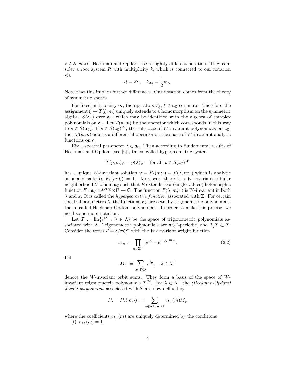2.4 Remark. Heckman and Opdam use a slightly different notation. They consider a root system  $R$  with multiplicity  $k$ , which is connected to our notation via

$$
R = 2\Sigma, \quad k_{2\alpha} = \frac{1}{2}m_{\alpha}.
$$

Note that this implies further differences. Our notation comes from the theory of symmetric spaces.

For fixed multiplicity m, the operators  $T_{\xi}$ ,  $\xi \in \mathfrak{a}_{\mathbb{C}}$  commute. Therefore the assignment  $\xi \mapsto T(\xi, m)$  uniquely extends to a homomorphism on the symmetric algebra  $S(\mathfrak{a}_{\mathbb{C}})$  over  $\mathfrak{a}_{\mathbb{C}}$ , which may be identified with the algebra of complex polynomials on  $\mathfrak{a}_{\mathbb{C}}$ . Let  $T(p,m)$  be the operator which corresponds in this way to  $p \in S(\mathfrak{a}_{\mathbb{C}})$ . If  $p \in S(\mathfrak{a}_{\mathbb{C}})^W$ , the subspace of W-invariant polynomials on  $\mathfrak{a}_{\mathbb{C}}$ , then  $T(p, m)$  acts as a differential operator on the space of W-invariant analytic functions on a.

Fix a spectral parameter  $\lambda \in \mathfrak{a}_{\mathbb{C}}$ . Then according to fundamental results of Heckman and Opdam (see [6]), the so-called hypergeometric system

$$
T(p,m)\varphi = p(\lambda)\varphi
$$
 for all  $p \in S(\mathfrak{a}_{\mathbb{C}})^W$ 

has a unique W-invariant solution  $\varphi = F_{\lambda}(m; \cdot) = F(\lambda, m; \cdot)$  which is analytic on **a** and satisfies  $F_{\lambda}(m; 0) = 1$ . Moreover, there is a W-invariant tubular neighborhood U of  $\mathfrak a$  in  $\mathfrak a_{\mathbb C}$  such that F extends to a (single-valued) holomorphic function  $F: \mathfrak{a}_{\mathbb{C}} \times \mathcal{M}^{\text{reg}} \times U \to \mathbb{C}$ . The function  $F(\lambda, m; x)$  is W-invariant in both  $λ$  and x. It is called the *hypergeometric function* associated with Σ. For certain spectral parameters  $\lambda$ , the functions  $F_{\lambda}$  are actually trigonometric polynomials, the so-called Heckman-Opdam polynomials. In order to make this precise, we need some more notation.

Let  $\mathcal{T} := \text{lin}\{e^{i\lambda} : \lambda \in \Lambda\}$  be the space of trigonometric polynomials associated with Λ. Trigonometric polynomials are  $\pi Q^{\vee}$ -periodic, and  $T_{\xi} \mathcal{T} \subset \mathcal{T}$ . Consider the torus  $T = \mathfrak{a}/\pi Q^{\vee}$  with the W-invariant weight function

$$
w_m := \prod_{\alpha \in \Sigma^+} \left| e^{i\alpha} - e^{-i\alpha} \right|^{m_\alpha} . \tag{2.2}
$$

Let

$$
M_{\lambda} := \sum_{\mu \in W.\lambda} e^{i\mu}, \quad \lambda \in \Lambda^+
$$

denote the W-invariant orbit sums. They form a basis of the space of  $W$ invariant trigonometric polynomials  $\mathcal{T}^W$ . For  $\lambda \in \Lambda^+$  the *(Heckman-Opdam)* Jacobi polynomials associated with  $\Sigma$  are now defined by

$$
P_{\lambda} = P_{\lambda}(m; \cdot) := \sum_{\mu \in \Lambda^+, \mu \preceq \lambda} c_{\lambda \mu}(m) M_{\mu}
$$

where the coefficients  $c_{\lambda\mu}(m)$  are uniquely determined by the conditions (i)  $c_{\lambda\lambda}(m)=1$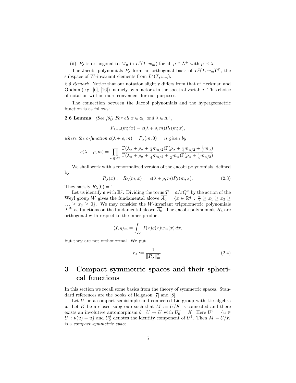(ii)  $P_{\lambda}$  is orthogonal to  $M_{\mu}$  in  $L^2(T; w_m)$  for all  $\mu \in \Lambda^+$  with  $\mu \prec \lambda$ .

The Jacobi polynomials  $P_{\lambda}$  form an orthogonal basis of  $L^2(T, w_m)^W$ , the subspace of W-invariant elements from  $L^2(T, w_m)$ .

2.5 Remark. Notice that our notation slightly differs from that of Heckman and Opdam (e.g.  $[6]$ ,  $[16]$ ), namely by a factor i in the spectral variable. This choice of notation will be more convenient for our purposes.

The connection between the Jacobi polynomials and the hypergeometric function is as follows:

**2.6 Lemma.** (See [6]) For all  $x \in \mathfrak{a}_{\mathbb{C}}$  and  $\lambda \in \Lambda^+$ ,

$$
F_{\lambda+\rho}(m;ix) = c(\lambda+\rho,m)P_{\lambda}(m;x),
$$

where the c-function  $c(\lambda + \rho, m) = P_{\lambda}(m, 0)^{-1}$  is given by

$$
c(\lambda + \rho, m) = \prod_{\alpha \in \Sigma^+} \frac{\Gamma(\lambda_\alpha + \rho_\alpha + \frac{1}{4}m_{\alpha/2})\Gamma(\rho_\alpha + \frac{1}{4}m_{\alpha/2} + \frac{1}{2}m_\alpha)}{\Gamma(\lambda_\alpha + \rho_\alpha + \frac{1}{4}m_{\alpha/2} + \frac{1}{2}m_\alpha)\Gamma(\rho_\alpha + \frac{1}{4}m_{\alpha/2})}.
$$

We shall work with a renormalized version of the Jacobi polynomials, defined by

$$
R_{\lambda}(x) := R_{\lambda}(m; x) := c(\lambda + \rho, m) P_{\lambda}(m; x).
$$
 (2.3)

They satisfy  $R_\lambda(0) = 1$ .

Let us identify **a** with  $\mathbb{R}^q$ . Dividing the torus  $T = \mathfrak{a}/\pi Q^\vee$  by the action of the Weyl group W gives the fundamental alcove  $\overline{A_0} = \{x \in \mathbb{R}^q : \frac{\pi}{2} \geq x_1 \geq x_2 \geq x_3\}$  $\ldots \geq x_q \geq 0$ . We may consider the *W*-invariant trigonometric polynomials  $\mathcal{T}^W$  as functions on the fundamental alcove  $\overline{A_0}$ . The Jacobi polynomials  $R_\lambda$  are orthogonal with respect to the inner product

$$
\langle f, g \rangle_m = \int_{\overline{A_0}} f(x) \overline{g(x)} w_m(x) \, dx,
$$

but they are not orthonormal. We put

$$
r_{\lambda} := \frac{1}{\|R_{\lambda}\|_{m}^{2}}.\tag{2.4}
$$

### 3 Compact symmetric spaces and their spherical functions

In this section we recall some basics from the theory of symmetric spaces. Standard references are the books of Helgason [7] and [8].

Let  $U$  be a compact semisimple and connected Lie group with Lie algebra u. Let K be a closed subgroup such that  $M := U/K$  is connected and there exists an involutive automorphism  $\theta: U \to U$  with  $U_0^{\theta} = K$ . Here  $U^{\theta} = \{u \in$  $U: \theta(u) = u$  and  $U_0^{\theta}$  denotes the identity component of  $U^{\theta}$ . Then  $M = U/K$ is a compact symmetric space.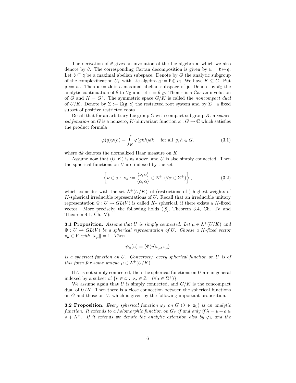The derivation of  $\theta$  gives an involution of the Lie algebra u, which we also denote by  $\theta$ . The corresponding Cartan decomposition is given by  $\mathfrak{u} = \mathfrak{k} \oplus \mathfrak{q}$ . Let  $\mathfrak{b} \subseteq \mathfrak{q}$  be a maximal abelian subspace. Denote by G the analytic subgroup of the complexification  $U_{\mathbb{C}}$  with Lie algebra  $\mathfrak{g} := \mathfrak{k} \oplus i\mathfrak{q}$ . We have  $K \subseteq G$ . Put  $\mathfrak{p} := i\mathfrak{q}$ . Then  $\mathfrak{a} := i\mathfrak{b}$  is a maximal abelian subspace of  $\mathfrak{p}$ . Denote by  $\theta_{\mathbb{C}}$  the analytic continuation of  $\theta$  to  $U_{\mathbb{C}}$  and let  $\tau = \theta|_G$ . Then  $\tau$  is a Cartan involution of G and  $K = G^{\tau}$ . The symmetric space  $G/K$  is called the noncompact dual of  $U/K$ . Denote by  $\Sigma := \Sigma(\mathfrak{g}, \mathfrak{a})$  the restricted root system and by  $\Sigma^+$  a fixed subset of positive restricted roots.

Recall that for an arbitrary Lie group  $G$  with compact subgroup  $K$ , a spherical function on G is a nonzero, K-biinvariant function  $\varphi : G \to \mathbb{C}$  which satisfies the product formula

$$
\varphi(g)\varphi(h) = \int_K \varphi(gkh)dk \quad \text{ for all } g, h \in G,
$$
\n(3.1)

where dk denotes the normalized Haar measure on K.

Assume now that  $(U, K)$  is as above, and U is also simply connected. Then the spherical functions on  $U$  are indexed by the set

$$
\left\{\nu \in \mathfrak{a} : \nu_{\alpha} := \frac{\langle \nu, \alpha \rangle}{\langle \alpha, \alpha \rangle} \in \mathbb{Z}^{+} \ (\forall \alpha \in \Sigma^{+})\right\},\tag{3.2}
$$

which coincides with the set  $\Lambda^+(U/K)$  of (restrictions of) highest weights of K-spherical irreducible representations of U. Recall that an irreducible unitary representation  $\Phi: U \to GL(V)$  is called K- spherical, if there exists a K-fixed vector. More precisely, the following holds ([8], Theorem 3.4, Ch. IV and Theorem 4.1, Ch. V):

**3.1 Proposition.** Assume that U is simply connected. Let  $\mu \in \Lambda^+(U/K)$  and  $\Phi: U \to GL(V)$  be a spherical representation of U. Choose a K-fixed vector  $v_{\mu} \in V$  with  $||v_{\mu}|| = 1$ . Then

$$
\psi_{\mu}(u) = \langle \Phi(u)v_{\mu}, v_{\mu} \rangle
$$

is a spherical function on U. Conversely, every spherical function on U is of this form for some unique  $\mu \in \Lambda^+(U/K)$ .

If  $U$  is not simply connected, then the spherical functions on  $U$  are in general indexed by a subset of  $\{\nu \in \mathfrak{a} : \nu_{\alpha} \in \mathbb{Z}^+ \; (\forall \alpha \in \Sigma^+) \}.$ 

We assume again that  $U$  is simply connected, and  $G/K$  is the concompact dual of  $U/K$ . Then there is a close connection between the spherical functions on  $G$  and those on  $U$ , which is given by the following important proposition.

**3.2 Proposition.** Every spherical function  $\varphi_{\lambda}$  on  $G$  ( $\lambda \in \mathfrak{a}_{\mathbb{C}}$ ) is an analytic function. It extends to a holomorphic function on  $G_{\mathbb{C}}$  if and only if  $\lambda = \mu + \rho \in$  $\rho + \Lambda^+$ . If it extends we denote the analytic extension also by  $\varphi_{\lambda}$  and the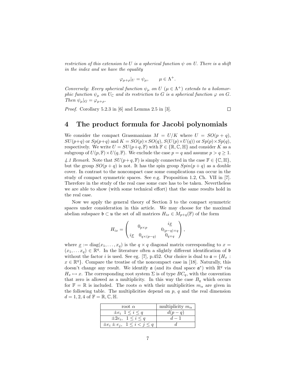restriction of this extension to U is a spherical function  $\psi$  on U. There is a shift in the index and we have the equality

$$
\varphi_{\mu+\rho}|_U = \psi_{\mu}, \qquad \mu \in \Lambda^+.
$$

Conversely: Every spherical function  $\psi_{\mu}$  on U  $(\mu \in \Lambda^{+})$  extends to a holomorphic function  $\psi_{\mu}$  on  $U_{\mathbb{C}}$  and its restriction to G is a spherical function  $\varphi$  on G. Then  $\psi_{\mu}|_G = \varphi_{\mu+\rho}$ .

Proof. Corollary 5.2.3 in [6] and Lemma 2.5 in [3].

 $\Box$ 

#### 4 The product formula for Jacobi polynomials

We consider the compact Grassmanians  $M = U/K$  where  $U = SO(p + q)$ ,  $SU(p+q)$  or  $Sp(p+q)$  and  $K = SO(p) \times SO(q)$ ,  $S(U(p) \times U(q))$  or  $Sp(p) \times Sp(q)$ , respectively. We write  $U = SU(p+q, \mathbb{F})$  with  $\mathbb{F} \in \{ \mathbb{R}, \mathbb{C}, \mathbb{H} \}$  and consider K as a subgroup of  $U(p, \mathbb{F}) \times U(q, \mathbb{F})$ . We exclude the case  $p = q$  and assume  $p > q \ge 1$ . 4.1 Remark. Note that  $SU(p+q, \mathbb{F})$  is simply connected in the case  $\mathbb{F} \in \{\mathbb{C}, \mathbb{H}\},$ but the group  $SO(p+q)$  is not. It has the spin group  $Spin(p+q)$  as a double cover. In contrast to the noncompact case some complications can occur in the study of compact symmetric spaces. See e.g. Proposition 1.2, Ch. VII in [7]. Therefore in the study of the real case some care has to be taken. Nevertheless we are able to show (with some technical effort) that the same results hold in the real case.

Now we apply the general theory of Section 3 to the compact symmetric spaces under consideration in this article. We may choose for the maximal abelian subspace  $\mathfrak{b} \subset \mathfrak{u}$  the set of all matrices  $H_{ix} \in M_{p+q}(\mathbb{F})$  of the form

$$
H_{ix} = \begin{pmatrix} 0_{p \times p} & i\underline{x} \\ i\underline{x} & 0_{q \times (p-q)} & 0_{q \times q} \\ i\underline{x} & 0_{q \times (p-q)} & 0_{q \times q} \end{pmatrix},
$$

where  $\underline{x} := diag(x_1, \ldots, x_q)$  is the  $q \times q$  diagonal matrix corresponding to  $x =$  $(x_1, \ldots, x_q) \in \mathbb{R}^q$ . In the literature often a slightly different identification of b without the factor i is used. See eg. [7], p.452. Our choice is dual to  $\mathfrak{a} = \{H_x :$  $x \in \mathbb{R}^q$ . Compare the treatise of the noncompact case in [18]. Naturally, this doesn't change any result. We identify  $\mathfrak a$  (and its dual space  $\mathfrak a^*$ ) with  $\mathbb R^q$  via  $H_x \mapsto x$ . The corresponding root system  $\Sigma$  is of type  $BC_q$ , with the convention that zero is allowed as a multiplicity. In this way the case  $B_q$  which occurs for  $\mathbb{F} = \mathbb{R}$  is included. The roots  $\alpha$  with their multiplicities  $m_{\alpha}$  are given in the following table. The multiplicities depend on  $p, q$  and the real dimension  $d = 1, 2, 4$  of  $\mathbb{F} = \mathbb{R}, \mathbb{C}, \mathbb{H}.$ 

| root $\alpha$                             | multiplicity $m_{\alpha}$ |
|-------------------------------------------|---------------------------|
| $\pm e_i \ \ 1 \leq i \leq q$             | $d(p-q)$                  |
| $\pm 2e_i$ , $1 \leq i \leq q$            | $d-1$                     |
| $\pm e_i \pm e_j$ , $1 \leq i < j \leq q$ |                           |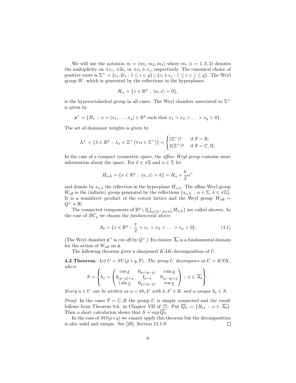We will use the notation  $m = (m_1, m_2, m_3)$  where  $m_i$   $(i = 1, 2, 3)$  denotes the multiplicity on  $\pm e_i$ ,  $\pm 2e_i$  or  $\pm e_i \pm e_j$ , respectively. The canonical choice of positive roots is  $\Sigma^+ = \{e_i, 2e_i : 1 \leq i \leq q\} \cup \{e_i \pm e_j : 1 \leq i < j \leq q\}$ . The Weyl group  $W$ , which is generated by the reflections in the hyperplanes

$$
H_{\alpha} = \{ x \in \mathbb{R}^q : \langle \alpha, x \rangle = 0 \},
$$

is the hyperoctahedral group in all cases. The Weyl chamber associated to  $\Sigma^+$ is given by

$$
\mathfrak{a}^+ = \{H_x \,:\, x = (x_1, \dots, x_q) \in \mathbb{R}^q \text{ such that } x_1 > x_2 > \dots > x_q > 0\}.
$$

The set of dominant weights is given by

$$
\Lambda^+ = \{ \lambda \in \mathbb{R}^q \, : \, \lambda_\alpha \in \mathbb{Z}^+ \left( \forall \, \alpha \in \Sigma^+ \right) \} = \begin{cases} (\mathbb{Z}^+)^q & \text{if } \mathbb{F} = \mathbb{R}; \\ 2(\mathbb{Z}^+)^q & \text{if } \mathbb{F} = \mathbb{C}, \mathbb{H}. \end{cases}
$$

In the case of a compact symmetric space, the *affine Weyl group* contains more information about the space. For  $k \in \pi \mathbb{Z}$  and  $\alpha \in \Sigma$  let

$$
H_{\alpha,k} = \{x \in \mathbb{R}^q \,:\, \langle \alpha, x \rangle = k\} = H_\alpha + \frac{k}{2} \alpha^\vee
$$

and denote by  $s_{\alpha,k}$  the reflection in the hyperplane  $H_{\alpha,k}$ . The affine Weyl group  $W_{\text{aff}}$  is the (infinite) group generated by the reflections  $\{s_{\alpha,k} : \alpha \in \Sigma, k \in \pi \mathbb{Z}\}\.$ It is a semidirect product of the coroot lattice and the Weyl group  $W_{\text{aff}} =$  $Q^{\vee} \rtimes W$ .

The connected components of  $\mathbb{R}^q \setminus {\bigcup_{\alpha \in \Sigma^+, k \in \pi \mathbb{Z}}} H_{\alpha,k}$  are called alcoves. In the case of  $BC_q$  we choose the *fundamental alcove* 

$$
A_0 = \{x \in \mathbb{R}^q : \frac{\pi}{2} > x_1 > x_2 > \ldots > x_q > 0\}.
$$
 (4.1)

(The Weyl chamber  $\mathfrak{a}^+$  is cut off by  $Q^{\vee}$ .) Its closure  $\overline{A_0}$  is a fundamental domain for the action of  $W_{\text{aff}}$  on  $\mathfrak{a}$ .

The following theorem gives a sharpened  $KAK$ -decomposition of  $U$ .

**4.2 Theorem.** Let  $U = SU(p+q, \mathbb{F})$ . The group U decomposes as  $U = KSK$ , where

$$
S = \left\{ b_x = \begin{pmatrix} \cos \underline{x} & 0_{q \times (p-q)} & i \sin \underline{x} \\ 0_{(p-q) \times q} & I_{p-q} & 0_{(p-q) \times q} \\ i \sin \underline{x} & 0_{q \times (p-q)} & \cos \underline{x} \end{pmatrix} : x \in \overline{A_0} \right\}.
$$

Every  $u \in U$  can be written as  $u = kb_x k'$  with  $k, k' \in K$  and a unique  $b_x \in S$ .

*Proof.* In the cases  $\mathbb{F} = \mathbb{C}, \mathbb{H}$  the group U is simply connected and the result follows from Theorem 8.6. in Chapter VII of [7]: Put  $\overline{Q_0} := \{H_{ix} : x \in \overline{A_0}\}.$ Then a short calculation shows that  $S = \exp \overline{Q_0}$ .

In the case of  $SO(p+q)$  we cannot apply this theorem but the decomposition is also valid and unique. See [20], Section 15.1.9.  $\Box$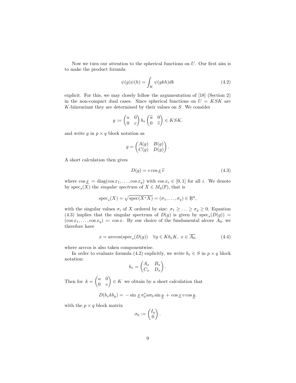Now we turn our attention to the spherical functions on  $U$ . Our first aim is to make the product formula

$$
\psi(g)\psi(h) = \int_{K} \psi(gkh)dk
$$
\n(4.2)

explicit. For this, we may closely follow the argumentation of [18] (Section 2) in the non-compact dual cases. Since spherical functions on  $U = KSK$  are K-biinvariant they are determined by their values on S. We consider

$$
g := \begin{pmatrix} u & 0 \\ 0 & v \end{pmatrix} b_x \begin{pmatrix} \widetilde{u} & 0 \\ 0 & \widetilde{v} \end{pmatrix} \in KSK.
$$

and write  $q$  in  $p \times q$  block notation as

$$
g = \begin{pmatrix} A(g) & B(g) \\ C(g) & D(g) \end{pmatrix}.
$$

A short calculation then gives

$$
D(g) = v \cos \underline{x} \,\widetilde{v} \tag{4.3}
$$

where  $\cos \underline{x} = \text{diag}(\cos x_1, \dots, \cos x_q)$  with  $\cos x_i \in [0, 1]$  for all i. We denote by  $spec_s(X)$  the *singular spectrum* of  $X \in M_q(\mathbb{F})$ , that is

$$
\operatorname{spec}_s(X) = \sqrt{\operatorname{spec}(X^*X)} = (\sigma_1, \dots, \sigma_q) \in \mathbb{R}^q,
$$

with the singular values  $\sigma_i$  of X ordered by size:  $\sigma_1 \geq \ldots \geq \sigma_q \geq 0$ . Equation (4.3) implies that the singular spectrum of  $D(g)$  is given by  $spec_s(D(g))$  =  $(\cos x_1, \ldots, \cos x_q) =: \cos x$ . By our choice of the fundamental alcove  $A_0$ , we therefore have

$$
x = \arccos(\text{spec}_s(D(g)) \quad \forall g \in Kb_x K, \ x \in \overline{A_0},\tag{4.4}
$$

where arccos is also taken componentwise.

In order to evaluate formula (4.2) explicitly, we write  $b_x \in S$  in  $p \times q$  block notation:

$$
b_x = \begin{pmatrix} A_x & B_x \\ C_x & D_x \end{pmatrix}.
$$

Then for  $k = \begin{pmatrix} u & 0 \\ 0 & u \end{pmatrix}$  $0 \quad v$  $\Big) \in K$  we obtain by a short calculation that

 $D(b_x k b_y) = -\sin \underline{x} \sigma_0^* u \sigma_0 \sin \underline{y} + \cos \underline{x} v \cos \underline{y}.$ 

with the  $p \times q$  block matrix

$$
\sigma_0 := \begin{pmatrix} I_q \\ 0 \end{pmatrix}.
$$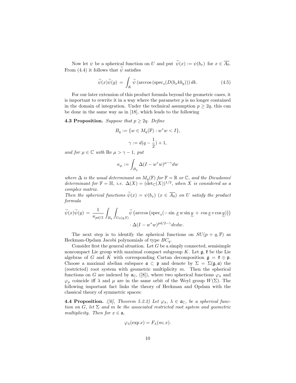Now let  $\psi$  be a spherical function on U and put  $\widetilde{\psi}(x) := \psi(b_x)$  for  $x \in \overline{A_0}$ . From (4.4) it follows that  $\tilde{\psi}$  satisfies

$$
\widetilde{\psi}(x)\widetilde{\psi}(y) = \int_K \widetilde{\psi}\left(\arccos\left(\text{spec}_s(D(b_xkb_y))\right)dk.\right)
$$
\n(4.5)

For our later extension of this product formula beyond the geometric cases, it is important to rewrite it in a way where the parameter  $p$  is no longer contained in the domain of integration. Under the technical assumption  $p \geq 2q$ , this can be done in the same way as in [18], which leads to the following

**4.3 Proposition.** Suppose that  $p \geq 2q$ . Define

$$
B_q := \{ w \in M_q(\mathbb{F}) : w^*w < I \},
$$
  

$$
\gamma := d(q - \frac{1}{2}) + 1,
$$

and for  $\mu \in \mathbb{C}$  with Re  $\mu > \gamma - 1$ , put

$$
\kappa_{\mu} := \int_{B_q} \Delta (I - w^* w)^{\mu - \gamma} dw
$$

where  $\Delta$  is the usual determinant on  $M_q(\mathbb{F})$  for  $\mathbb{F} = \mathbb{R}$  or  $\mathbb{C}$ , and the Dieudonné determinant for  $\mathbb{F} = \mathbb{H}$ , i.e.  $\Delta(X) = (\det_{\mathbb{C}}(X))^{1/2}$ , when X is considered as a complex matrix.

Then the spherical functions  $\widetilde{\psi}(x) = \psi(b_x)$   $(x \in \overline{A_0})$  on U satisfy the product formula

$$
\widetilde{\psi}(x)\widetilde{\psi}(y) = \frac{1}{\kappa_{pd/2}} \int_{B_q} \int_{U_0(q,\mathbb{F})} \widetilde{\psi}\left(\arccos\left(\text{spec}_s(-\sin x w \sin y + \cos x v \cos y)\right)\right) \cdot \Delta(I - w^*w)^{pd/2 - \gamma} dvdw.
$$

The next step is to identify the spherical functions on  $SU(p+q, \mathbb{F})$  as Heckman-Opdam Jacobi polynomials of type  $BC_q$ .

Consider first the general situation. Let  $G$  be a simply connected, semisimple noncompact Lie group with maximal compact subgroup K. Let  $\mathfrak{g}$ ,  $\mathfrak{k}$  be the Lie algebras of G and K with corresponding Cartan decomposition  $\mathfrak{g} = \mathfrak{k} \oplus \mathfrak{p}$ . Choose a maximal abelian subspace  $\mathfrak{a} \subset \mathfrak{p}$  and denote by  $\Sigma = \Sigma(\mathfrak{g}, \mathfrak{a})$  the (restricted) root system with geometric multiplicity  $m$ . Then the spherical functions on G are indexed by  $a_{\mathbb{C}}$ , ([8]), where two spherical functions  $\varphi_{\lambda}$  and  $\varphi_{\mu}$  coincide iff  $\lambda$  and  $\mu$  are in the same orbit of the Weyl group  $W(\Sigma)$ . The following important fact links the theory of Heckman and Opdam with the classical theory of symmetric spaces:

**4.4 Proposition.** ([6], Theorem 5.2.2) Let  $\varphi_{\lambda}$ ,  $\lambda \in \mathfrak{a}_{\mathbb{C}}$ , be a spherical function on G, let  $\Sigma$  and m be the associated restricted root system and geometric multiplicity. Then for  $x \in \mathfrak{a}$ ,

$$
\varphi_{\lambda}(\exp x) = F_{\lambda}(m; x).
$$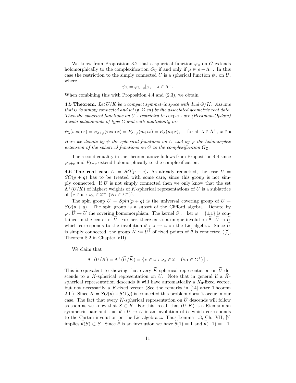We know from Proposition 3.2 that a spherical function  $\varphi_{\mu}$  on G extends holomorphically to the complexification  $G_{\mathbb{C}}$  if and only if  $\mu \in \rho + \Lambda^+$ . In this case the restriction to the simply connected U is a spherical function  $\psi_{\lambda}$  on U, where

$$
\psi_{\lambda} = \varphi_{\lambda+\rho}|_{U}, \quad \lambda \in \Lambda^{+}.
$$

When combining this with Proposition 4.4 and  $(2.3)$ , we obtain

**4.5 Theorem.** Let  $U/K$  be a compact symmetric space with dual  $G/K$ . Assume that U is simply connected and let  $(a, \Sigma, m)$  be the associated geometric root data. Then the spherical functions on  $U$  - restricted to i exp  $a$  - are (Heckman-Opdam) Jacobi polynomials of type  $\Sigma$  and with multiplicity m:

 $\psi_{\lambda}(i \exp x) = \varphi_{\lambda+\rho}(i \exp x) = F_{\lambda+\rho}(m; ix) = R_{\lambda}(m; x), \quad \text{ for all } \lambda \in \Lambda^+, x \in \mathfrak{a}.$ 

Here we denote by  $\psi$  the spherical functions on U and by  $\varphi$  the holomorphic extension of the spherical functions on G to the complexification  $G_{\mathbb{C}}$ .

The second equality in the theorem above follows from Proposition 4.4 since  $\varphi_{\lambda+\rho}$  and  $F_{\lambda+\rho}$  extend holomorphically to the complexification.

4.6 The real case  $U = SO(p+q)$ . As already remarked, the case  $U =$  $SO(p + q)$  has to be treated with some care, since this group is not simply connected. If  $U$  is not simply connected then we only know that the set  $\Lambda^+(U/K)$  of highest weights of K-spherical representations of U is a sublattice of  $\{\nu \in \mathfrak{a} : \nu_{\alpha} \in \mathbb{Z}^+ \; (\forall \alpha \in \Sigma^+) \}.$ 

The spin group  $\tilde{U} = Spin(p+q)$  is the universal covering group of  $U =$  $SO(p+q)$ . The spin group is a subset of the Clifford algebra. Denote by  $\varphi: U \to U$  the covering homomorphism. The kernel  $S := \text{ker } \varphi = {\pm 1}$  is contained in the center of  $\tilde{U}$ . Further, there exists a unique involution  $\tilde{\theta} : \tilde{U} \to \tilde{U}$ which corresponds to the involution  $\theta : \mathfrak{u} \to \mathfrak{u}$  on the Lie algebra. Since  $\tilde{U}$ is simply connected, the group  $\tilde{K} := \tilde{U}^{\theta}$  of fixed points of  $\tilde{\theta}$  is connected ([7], Theorem 8.2 in Chapter VII).

We claim that

$$
\Lambda^+(U/K) = \Lambda^+(\widetilde{U}/\widetilde{K}) = \left\{ \nu \in \mathfrak{a} \, : \, \nu_\alpha \in \mathbb{Z}^+ \, \left( \forall \alpha \in \Sigma^+ \right) \right\}.
$$

This is equivalent to showing that every  $\widetilde{K}$ -spherical representation on  $\widetilde{U}$  descends to a K-spherical representation on U. Note that in general if a  $K$ spherical representation descends it will have automatically a  $K_0$ -fixed vector, but not necessarily a K-fixed vector (See the remarks in  $[14]$  after Theorem 2.1.). Since  $K = SO(p) \times SO(q)$  is connected this problem doesn't occur in our case. The fact that every  $\tilde{K}$ -spherical representation on  $\tilde{U}$  descends will follow as soon as we know that  $S \subset K$ . For this, recall that  $(U, K)$  is a Riemannian symmetric pair and that  $\theta : U \to U$  is an involution of U which corresponds to the Cartan involution on the Lie algebra u. Thus Lemma 1.3, Ch. VII, [7] implies  $\tilde{\theta}(S) \subset S$ . Since  $\tilde{\theta}$  is an involution we have  $\tilde{\theta}(1) = 1$  and  $\tilde{\theta}(-1) = -1$ .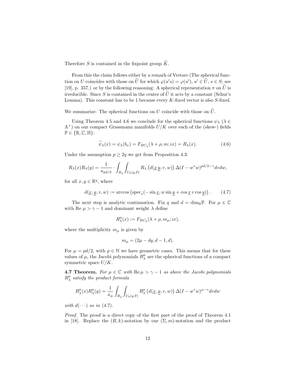Therefore S is contained in the fixpoint group  $\widetilde{K}$ .

From this the claim follows either by a remark of Vretare (The spherical function on U coincides with those on U for which  $\varphi(u's) = \varphi(u'), u' \in U, s \in S$ ; see [19], p. 357.) or by the following reasoning: A spherical representation  $\pi$  on  $\tilde{U}$  is irreducible. Since S is contained in the center of  $\tilde{U}$  it acts by a constant (Schur's Lemma). This constant has to be 1 because every  $K$ -fixed vector is also  $S$ -fixed.

We summarize: The spherical functions on  $U$  coincide with those on  $\tilde{U}$ .

Using Theorem 4.5 and 4.6 we conclude for the spherical functions  $\psi_{\lambda}$  ( $\lambda \in$  $\Lambda^+$ ) on our compact Grassmann manifolds  $U/K$  over each of the (skew-) fields  $\mathbb{F} \in \{ \mathbb{R}, \mathbb{C}, \mathbb{H} \}$ :

$$
\widetilde{\psi}_{\lambda}(x) = \psi_{\lambda}(b_x) = F_{BC_q}(\lambda + \rho, m; ix) = R_{\lambda}(x). \tag{4.6}
$$

Under the assumption  $p \geq 2q$  we get from Proposition 4.3:

$$
R_{\lambda}(x)R_{\lambda}(y) = \frac{1}{\kappa_{pd/2}} \cdot \int_{B_q} \int_{U_0(q,\mathbb{F})} R_{\lambda} \left( d(\underline{x} \underline{y}, v, w) \right) \Delta(I - w^*w)^{pd/2 - \gamma} dv dw,
$$

for all  $x, y \in \mathbb{R}^q$ , where

$$
d(\underline{x}, \underline{y}, v, w) := \arccos\left(\operatorname{spec}_s(-\sin \underline{x}, w \sin \underline{y} + \cos \underline{x} v \cos \underline{y})\right). \tag{4.7}
$$

The next step is analytic continuation. Fix q and  $d = \dim_{\mathbb{R}} \mathbb{F}$ . For  $\mu \in \mathbb{C}$ with Re  $\mu > \gamma - 1$  and dominant weight  $\lambda$  define

$$
R_{\lambda}^{\mu}(x) := F_{BC_q}(\lambda + \rho, m_{\mu}; ix),
$$

where the multiplicity  $m_{\mu}$  is given by

$$
m_{\mu} = (2\mu - dq, d - 1, d).
$$

For  $\mu = pd/2$ , with  $p \in \mathbb{N}$  we have geometric cases. This means that for these values of  $\mu$ , the Jacobi polynomials  $R^{\mu}_{\lambda}$  are the spherical functions of a compact symmetric space  $U/K$ .

**4.7 Theorem.** For  $\mu \in \mathbb{C}$  with  $\text{Re}\,\mu > \gamma - 1$  as above the Jacobi polynomials  $R^{\mu}_{\lambda}$  satisfy the product formula

$$
R^{\mu}_{\lambda}(x)R^{\mu}_{\lambda}(y) = \frac{1}{\kappa_{\mu}} \int_{B_q} \int_{U_0(q,\mathbb{F})} R^{\mu}_{\lambda} \left( d(\underline{x}, \underline{y}, v, w) \right) \Delta (I - w^*w)^{\mu - \gamma} dv dw
$$

with  $d(\cdots)$  as in (4.7).

Proof. The proof is a direct copy of the first part of the proof of Theorem 4.1 in [18]. Replace the  $(R, k)$ -notation by our  $(\Sigma, m)$ -notation and the product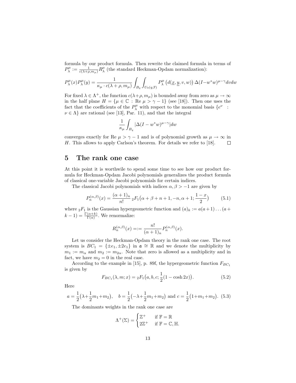formula by our product formula. Then rewrite the claimed formula in terms of  $P^{\mu}_{\lambda} := \frac{1}{c(\lambda+\rho,m_{\mu})}R^{\mu}_{\lambda}$  (the standard Heckman-Opdam normalization):

$$
P_{\lambda}^{\mu}(x)P_{\lambda}^{\mu}(y) = \frac{1}{\kappa_{\mu} \cdot c(\lambda + \rho, m_{\mu})} \int_{B_q} \int_{U_0(q, \mathbb{F})} P_{\lambda}^{\mu}(d(\underline{x}, \underline{y}, v, w)) \Delta(I - w^*w)^{\mu - \gamma} dv dw
$$

For fixed  $\lambda \in \Lambda^+$ , the function  $c(\lambda+\rho, m_\mu)$  is bounded away from zero as  $\mu \to \infty$ in the half plane  $H = {\mu \in \mathbb{C} : \text{Re } \mu > \gamma - 1}$  (see [18]). Then one uses the fact that the coefficients of the  $P_{\lambda}^{\mu}$  with respect to the monomial basis  $\{e^{\nu}\; :$  $\nu \in \Lambda$  are rational (see [13], Par. 11), and that the integral

$$
\frac{1}{\kappa_{\mu}}\int_{B_q} |\Delta (I-w^*w)^{\mu-\gamma}|dw
$$

converges exactly for Re  $\mu > \gamma - 1$  and is of polynomial growth as  $\mu \to \infty$  in H. This allows to apply Carlson's theorem. For details we refer to [18].  $\Box$ 

#### 5 The rank one case

At this point it is worthwile to spend some time to see how our product formula for Heckman-Opdam Jacobi polynomials generalizes the product formula of classical one-variable Jacobi polynomials for certain indices.

The classical Jacobi polynomials with indices  $\alpha, \beta > -1$  are given by

$$
P_n^{(\alpha,\beta)}(x) = \frac{(\alpha+1)_n}{n!} {}_2F_1\big(\alpha+\beta+n+1, -n, \alpha+1; \frac{1-x}{2}\big) \tag{5.1}
$$

where  ${}_2F_1$  is the Gaussian hypergeometric function and  $(a)_k := a(a+1)...(a+1)$  $(k-1) = \frac{\Gamma(\alpha+k)}{\Gamma(\alpha)}$ . We renormalize:

$$
R_n^{(\alpha,\beta)}(x) = := \frac{n!}{(\alpha+1)_n} P_n^{(\alpha,\beta)}(x).
$$

Let us consider the Heckman-Opdam theory in the rank one case. The root system is  $BC_1 = {\pm e_1, \pm 2e_1}$  in  $\mathfrak{a} \cong \mathbb{R}$  and we denote the multiplicity by  $m_1 := m_\alpha$  and  $m_2 := m_{2\alpha}$ . Note that zero is allowed as a multiplicity and in fact, we have  $m_2 = 0$  in the real case.

According to the example in [15], p. 89f, the hypergeometric function  $F_{BC_1}$ is given by

$$
F_{BC_1}(\lambda, m; x) = {}_2F_1(a, b, c; \frac{1}{2}(1 - \cosh 2x)).
$$
\n(5.2)

Here

$$
a = \frac{1}{2}(\lambda + \frac{1}{2}m_1 + m_2), \quad b = \frac{1}{2}(-\lambda + \frac{1}{2}m_1 + m_2) \text{ and } c = \frac{1}{2}(1 + m_1 + m_2). \tag{5.3}
$$

The dominants weights in the rank one case are

$$
\Lambda^{+}(\Sigma) = \begin{cases} \mathbb{Z}^{+} & \text{if } \mathbb{F} = \mathbb{R} \\ 2\mathbb{Z}^{+} & \text{if } \mathbb{F} = \mathbb{C}, \mathbb{H}. \end{cases}
$$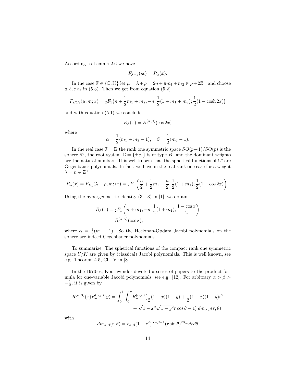According to Lemma 2.6 we have

$$
F_{\lambda+\rho}(ix) = R_{\lambda}(x).
$$

In the case  $\mathbb{F} \in \{\mathbb{C}, \mathbb{H}\}$  let  $\mu = \lambda + \rho = 2n + \frac{1}{2}m_1 + m_2 \in \rho + 2\mathbb{Z}^+$  and choose  $a, b, c$  as in (5.3). Then we get from equation (5.2)

$$
F_{BC_1}(\mu, m; x) = {}_2F_1\left(n + \frac{1}{2}m_1 + m_2, -n, \frac{1}{2}(1 + m_1 + m_2); \frac{1}{2}(1 - \cosh 2x)\right)
$$

and with equation (5.1) we conclude

$$
R_{\lambda}(x) = R_n^{(\alpha,\beta)}(\cos 2x)
$$

where

$$
\alpha = \frac{1}{2}(m_1 + m_2 - 1), \quad \beta = \frac{1}{2}(m_2 - 1).
$$

In the real case  $\mathbb{F} = \mathbb{R}$  the rank one symmetric space  $SO(p+1)/SO(p)$  is the sphere  $\mathbb{S}^p$ , the root system  $\Sigma = {\pm e_1}$  is of type  $B_1$  and the dominant weights are the natural numbers. It is well known that the spherical functions of  $\mathbb{S}^p$  are Gegenbauer polynomials. In fact, we have in the real rank one case for a weight  $\lambda = n \in \mathbb{Z}^+$ 

$$
R_{\lambda}(x) = F_{B_1}(\lambda + \rho, m; ix) = {}_2F_1\left(\frac{n}{2} + \frac{1}{2}m_1, -\frac{n}{2}, \frac{1}{2}(1 + m_1); \frac{1}{2}(1 - \cos 2x)\right).
$$

Using the hypergeometric identity  $(3.1.3)$  in [1], we obtain

$$
R_{\lambda}(x) = {}_{2}F_{1}\left(n + m_{1}, -n, \frac{1}{2}(1 + m_{1}); \frac{1 - \cos x}{2}\right)
$$

$$
= R_{n}^{(\alpha,\alpha)}(\cos x),
$$

where  $\alpha = \frac{1}{2}(m_1 - 1)$ . So the Heckman-Opdam Jacobi polynomials on the sphere are indeed Gegenbauer polynomials.

To summarize: The spherical functions of the compact rank one symmetric space  $U/K$  are given by (classical) Jacobi polynomials. This is well known, see e.g. Theorem 4.5, Ch. V in [8].

In the 1970ies, Koornwinder devoted a series of papers to the product formula for one-variable Jacobi polynomials, see e.g. [12]. For arbitrary  $\alpha > \beta >$  $-\frac{1}{2}$ , it is given by

$$
R_n^{(\alpha,\beta)}(x)R_n^{(\alpha,\beta)}(y) = \int_0^1 \int_0^{\pi} R_n^{(\alpha,\beta)}\left(\frac{1}{2}(1+x)(1+y) + \frac{1}{2}(1-x)(1-y)r^2 + \sqrt{1-x^2}\sqrt{1-y^2}r\cos\theta - 1\right)dm_{\alpha,\beta}(r,\theta)
$$

with

$$
dm_{\alpha,\beta}(r,\theta) = c_{\alpha,\beta}(1-r^2)^{\alpha-\beta-1}(r\sin\theta)^{2\beta}r dr d\theta
$$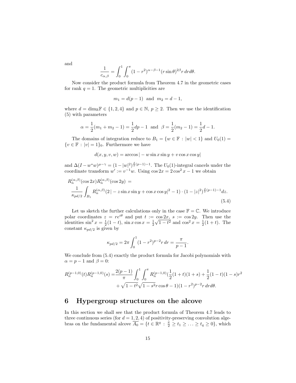and

$$
\frac{1}{c_{\alpha,\beta}} = \int_0^1 \int_0^{\pi} (1 - r^2)^{\alpha - \beta - 1} (r \sin \theta)^{2\beta} r dr d\theta.
$$

Now consider the product formula from Theorem 4.7 in the geometric cases for rank  $q = 1$ . The geometric multiplicities are

$$
m_1 = d(p-1)
$$
 and  $m_2 = d-1$ ,

where  $d = \dim_{\mathbb{R}} \mathbb{F} \in \{1, 2, 4\}$  and  $p \in \mathbb{N}$ ,  $p \geq 2$ . Then we use the identification (5) with parameters

$$
\alpha = \frac{1}{2}(m_1 + m_2 - 1) = \frac{1}{2}dp - 1
$$
 and  $\beta = \frac{1}{2}(m_2 - 1) = \frac{1}{2}d - 1$ .

The domains of integration reduce to  $B_1 = \{w \in \mathbb{F} : |w| < 1\}$  and  $U_0(1) =$  $\{v \in \mathbb{F} : |v| = 1\}_0$ . Furthermore we have

$$
d(x, y, v, w) = \arccos | - w \sin x \sin y + v \cos x \cos y|
$$

and  $\Delta (I - w^*w)^{\mu - \gamma} = (1 - |w|^2)^{\frac{d}{2}(p-1)-1}$ . The  $U_0(1)$ -integral cancels under the coordinate transform  $w' := v^{-1}w$ . Using  $\cos 2x = 2\cos^2 x - 1$  we obtain

$$
R_n^{(\alpha,\beta)}(\cos 2x)R_n^{(\alpha,\beta)}(\cos 2y) =
$$
  

$$
\frac{1}{\kappa_{pd/2}} \int_{B_1} R_n^{(\alpha,\beta)}(2|-z\sin x \sin y + \cos x \cos y|^2 - 1) \cdot (1-|z|^2)^{\frac{d}{2}(p-1)-1} dz.
$$
 (5.4)

Let us sketch the further calculations only in the case  $\mathbb{F} = \mathbb{C}$ . We introduce polar coordinates  $z = re^{i\theta}$  and put  $t := \cos 2x$ ,  $s := \cos 2y$ . Then use the identities  $\sin^2 x = \frac{1}{2}(1-t)$ ,  $\sin x \cos x = \frac{1}{2}$  $\frac{c}{\sqrt{c}}$  $\overline{1-t^2}$  and  $\cos^2 x = \frac{1}{2}(1+t)$ . The constant  $\kappa_{pd/2}$  is given by

$$
\kappa_{pd/2} = 2\pi \int_0^1 (1 - r^2)^{p-2} r \, dr = \frac{\pi}{p-1}.
$$

We conclude from  $(5.4)$  exactly the product formula for Jacobi polynomials with  $\alpha = p - 1$  and  $\beta = 0$ :

$$
R_n^{(p-1,0)}(t)R_n^{(p-1,0)}(s) = \frac{2(p-1)}{\pi} \int_0^1 \int_0^{\pi} R_n^{(p-1,0)}(\frac{1}{2}(1+t)(1+s) + \frac{1}{2}(1-t)(1-s)r^2 + \sqrt{1-t^2}\sqrt{1-s^2}r\cos\theta - 1)(1-r^2)^{p-2}r\,drd\theta.
$$

#### 6 Hypergroup structures on the alcove

In this section we shall see that the product formula of Theorem 4.7 leads to three continuous series (for  $d = 1, 2, 4$ ) of positivity-preserving convolution algebras on the fundamental alcove  $\overline{A_0} = \{t \in \mathbb{R}^q : \frac{\pi}{2} \ge t_1 \ge \ldots \ge t_q \ge 0\}$ , which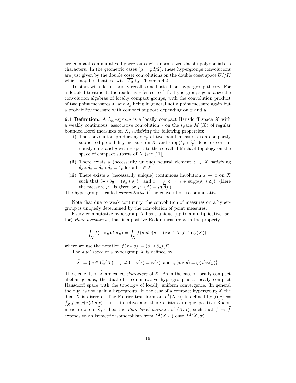are compact commutative hypergroups with normalized Jacobi polynomials as characters. In the geometric cases ( $\mu = pd/2$ ), these hypergroups convolutions are just given by the double coset convolutions on the double coset space  $U//K$ which may be identified with  $\overline{A_0}$  by Theorem 4.2.

To start with, let us briefly recall some basics from hypergroup theory. For a detailed treatment, the reader is referred to [11]. Hypergroups generalize the convolution algebras of locally compact groups, with the convolution product of two point measures  $\delta_x$  and  $\delta_y$  being in general not a point measure again but a probability measure with compact support depending on  $x$  and  $y$ .

**6.1 Definition.** A hypergroup is a locally compact Hausdorff space X with a weakly continuous, associative convolution  $*$  on the space  $M_b(X)$  of regular bounded Borel measures on  $X$ , satisfying the following properties:

- (i) The convolution product  $\delta_x * \delta_y$  of two point measures is a compactly supported probability measure on X, and  $\text{supp}(\delta_x * \delta_y)$  depends continuously on  $x$  and  $y$  with respect to the so-called Michael topology on the space of compact subsets of  $X$  (see [11]).
- (ii) There exists a (necessarily unique) neutral element  $e \in X$  satisfying  $\delta_e * \delta_x = \delta_x * \delta_e = \delta_x$  for all  $x \in X$ .
- (iii) There exists a (necessarily unique) continuous involution  $x \mapsto \overline{x}$  on X such that  $\delta_{\overline{x}} * \delta_{\overline{y}} = (\delta_y * \delta_x)^{-1}$  and  $x = \overline{y} \iff e \in \text{supp}(\delta_x * \delta_y)$ . (Here the measure  $\mu^-$  is given by  $\mu^-(A) = \mu(A)$ .)

The hypergroup is called commutative if the convolution is commutative.

Note that due to weak continuity, the convolution of measures on a hypergroup is uniquely determined by the convolution of point measures.

Every commutative hypergroup  $X$  has a unique (up to a multiplicative factor) Haar measure  $\omega$ , that is a positive Radon measure with the property

$$
\int_X f(x*y)d\omega(y) = \int_X f(y)d\omega(y) \quad (\forall x \in X, f \in C_c(X)),
$$

where we use the notation  $f(x * y) := (\delta_x * \delta_y)(f)$ .

The *dual space* of a hypergroup  $X$  is defined by

$$
\widehat{X} := \{ \varphi \in C_b(X) : \varphi \neq 0, \ \varphi(\overline{x}) = \overline{\varphi(x)} \text{ and } \varphi(x * y) = \varphi(x)\varphi(y) \}.
$$

The elements of  $\widehat{X}$  are called *characters* of X. As in the case of locally compact abelian groups, the dual of a commutative hypergroup is a locally compact Hausdorff space with the topology of locally uniform convergence. In general the dual is not again a hypergroup. In the case of a compact hypergroup  $X$  the dual  $\hat{X}$  is discrete. The Fourier transform on  $L^1(X, \omega)$  is defined by  $f(\varphi) :=$  $\int_X f(x)\varphi(x)d\omega(x)$ . It is injective and there exists a unique positive Radon measure  $\pi$  on  $\widehat{X}$ , called the *Plancherel measure* of  $(X, *)$ , such that  $f \mapsto \widehat{f}$ extends to an isometric isomorphism from  $L^2(X, \omega)$  onto  $L^2(\widehat{X}, \pi)$ .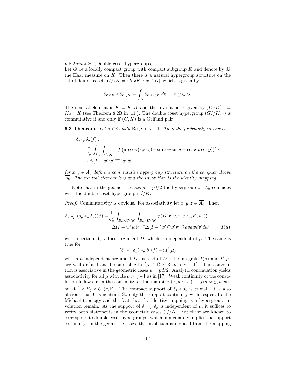#### 6.2 Example. (Double coset hypergroups)

Let G be a locally compact group with compact subgroup  $K$  and denote by  $dk$ the Haar measure on  $K$ . Then there is a natural hypergroup structure on the set of double cosets  $G//K = \{KxK : x \in G\}$  which is given by

$$
\delta_{KxK} * \delta_{KyK} = \int_K \delta_{KxkyK} dk, \quad x, y \in G.
$$

The neutral element is  $K = KeK$  and the involution is given by  $(KxK)^{-}$  $Kx^{-1}K$  (see Theorem 8.2B in [11]). The double coset hypergroup  $(G//K, *)$  is commutative if and only if  $(G, K)$  is a Gelfand pair.

**6.3 Theorem.** Let  $\mu \in \mathbb{C}$  with Re  $\mu > \gamma - 1$ . Then the probability measures

$$
\delta_x *_{\mu} \delta_y(f) :=
$$
  
\n
$$
\frac{1}{\kappa_{\mu}} \int_{B_q} \int_{U_0(q,\mathbb{F})} f\left(\arccos\left(\text{spec}_s(-\sin x w \sin y + \cos x v \cos y)\right)\right) \cdot \Delta(I - w^* w)^{\mu - \gamma} dv dw
$$

for  $x, y \in A_0$  define a commutative hypergroup structure on the compact alcove  $A_0$ . The neutral element is 0 and the involution is the identity mapping.

Note that in the geometric cases  $\mu = pd/2$  the hypergroup on  $\overline{A_0}$  coincides with the double coset hypergroup  $U//K$ .

*Proof.* Commutativity is obvious. For associativity let  $x, y, z \in \overline{A_0}$ . Then

$$
\delta_x *_\mu (\delta_y *_\mu \delta_z)(f) = \frac{1}{\kappa_\mu^2} \int_{B_q \times U_0(q)} \int_{B_q \times U_0(q)} f(D(x, y, z, v, w, v', w')) \cdot \Delta(I - w^*w)^{\mu - \gamma} \Delta(I - (w')^*w')^{\mu - \gamma} dv dw dv' dw' =: I(\mu)
$$

with a certain  $\overline{A_0}$  valued argument D, which is independent of  $\mu$ . The same is true for

$$
(\delta_x *_{\mu} \delta_y) *_{\mu} \delta_z(f) =: I'(\mu)
$$

with a  $\mu$ -independent argument D' instead of D. The integrals  $I(\mu)$  and  $I'(\mu)$ are well defined and holomorphic in  $\{\mu \in \mathbb{C} : \text{Re}\,\mu > \gamma - 1\}$ . The convolution is associative in the geometric cases  $\mu = pd/2$ . Analytic continuation yields associativity for all  $\mu$  with Re  $\mu > \gamma - 1$  as in [17]. Weak continuity of the convolution follows from the continuity of the mapping  $(x, y, v, w) \mapsto f(d(x, y, v, w))$ on  $\overline{A_0}^2 \times B_q \times U_0(q, \mathbb{F})$ . The compact support of  $\delta_x * \delta_y$  is trivial. It is also obvious that 0 is neutral. So only the support continuity with respect to the Michael topology and the fact that the identity mapping is a hypergroup involution remain. As the support of  $\delta_x *_{\mu} \delta_y$  is independent of  $\mu$ , it suffices to verify both statements in the geometric cases  $U//K$ . But these are known to correspond to double coset hypergroups, which immediately implies the support continuity. In the geometric cases, the involution is induced from the mapping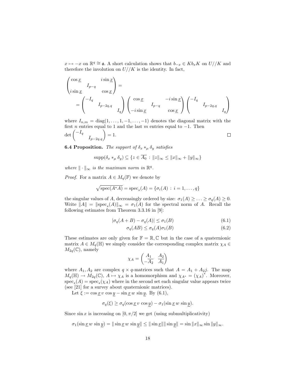$x \mapsto -x$  on  $\mathbb{R}^q \cong \mathfrak{a}$ . A short calculation shows that  $b_{-x} \in Kb_xK$  on  $U//K$  and therefore the involution on  $U//K$  is the identity. In fact,

$$
\begin{pmatrix}\n\cos \underline{x} & i \sin \underline{x} \\
i \sin \underline{x} & \cos \underline{x}\n\end{pmatrix} =
$$
\n
$$
= \begin{pmatrix}\n-I_q & \\
& I_{p-2q,q} \\
& & I_q\n\end{pmatrix} \begin{pmatrix}\n\cos \underline{x} & -i \sin \underline{x} \\
-i \sin \underline{x} & \cos \underline{x}\n\end{pmatrix} \begin{pmatrix}\n-I_q & \\
& I_{p-2q,q} \\
& & I_q\n\end{pmatrix}
$$

where  $I_{n,m} = \text{diag}(1,\ldots,1,-1,\ldots,-1)$  denotes the diagonal matrix with the first *n* entries equal to 1 and the last m entries equal to  $-1$ . Then  $\ell = I$ 

$$
\det\begin{pmatrix} -I_q & & \\ & I_{p-2q,q} \end{pmatrix} = 1. \square
$$

**6.4 Proposition.** The support of  $\delta_x *_{\mu} \delta_y$  satisfies

$$
\operatorname{supp}(\delta_x *_\mu \delta_y) \subseteq \{ z \in \overline{A_0} : ||z||_{\infty} \le ||x||_{\infty} + ||y||_{\infty} \}
$$

where  $\|\cdot\|_{\infty}$  is the maximum norm in  $\mathbb{R}^{q}$ .

*Proof.* For a matrix  $A \in M_q(\mathbb{F})$  we denote by

$$
\sqrt{\text{spec}(A^*A)} = \text{spec}_s(A) = \{\sigma_i(A) : i = 1, \dots, q\}
$$

the singular values of A, decreasingly ordered by size:  $\sigma_1(A) \geq \ldots \geq \sigma_q(A) \geq 0$ . Write  $||A|| = ||\text{spec}_s(A)||_{\infty} = \sigma_1(A)$  for the spectral norm of A. Recall the following estimates from Theorem 3.3.16 in [9]:

$$
|\sigma_q(A+B) - \sigma_q(A)| \le \sigma_1(B)
$$
\n(6.1)

$$
\sigma_q(AB) \le \sigma_q(A)\sigma_1(B) \tag{6.2}
$$

These estimates are only given for  $\mathbb{F} = \mathbb{R}, \mathbb{C}$  but in the case of a quaternionic matrix  $A \in M_q(\mathbb{H})$  we simply consider the corresponding complex matrix  $\chi_A \in$  $M_{2q}(\mathbb{C})$ , namely

$$
\chi_A = \begin{pmatrix} A_1 & A_2 \\ -A_2 & A_1 \end{pmatrix}
$$

where  $A_1, A_2$  are complex  $q \times q$ -matrices such that  $A = A_1 + A_2 j$ . The map  $M_q(\mathbb{H}) \to M_{2q}(\mathbb{C}), A \mapsto \chi_A$  is a homomorphism and  $\chi_{A^*} = (\chi_A)^*$ . Moreover,  $spec_s(A) = spec_s(\chi_A)$  where in the second set each singular value appears twice (see [21] for a survey about quaternionic matrices).

Let  $\xi := \cos \underline{x} v \cos \underline{y} - \sin \underline{x} w \sin \underline{y}$ . By (6.1),

$$
\sigma_q(\xi) \ge \sigma_q(\cos \underline{x} \, v \, \cos \underline{y}) - \sigma_1(\sin \underline{x} \, w \, \sin \underline{y}).
$$

Since  $\sin x$  is increasing on  $[0, \pi/2]$  we get (using submultiplicativity)

$$
\sigma_1(\sin \underline{x} w \sin \underline{y}) = \|\sin \underline{x} w \sin \underline{y}\| \le \|\sin \underline{x}\| \|\sin \underline{y}\| = \sin \|x\|_{\infty} \sin \|y\|_{\infty}.
$$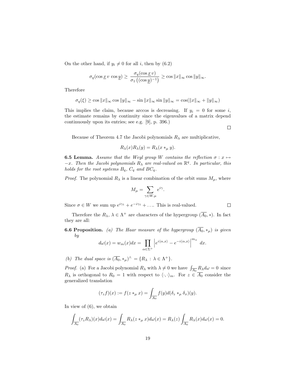On the other hand, if  $y_i \neq 0$  for all i, then by (6.2)

$$
\sigma_q(\cos\underline{x}\,v\,\cos\underline{y})\geq\,\frac{\sigma_q(\cos\underline{x}\,v)}{\sigma_1\left((\cos\underline{y})^{-1}\right)}\geq\cos\|x\|_\infty\cos\|y\|_\infty.
$$

Therefore

$$
\sigma_q(\xi) \ge \cos \|x\|_{\infty} \cos \|y\|_{\infty} - \sin \|x\|_{\infty} \sin \|y\|_{\infty} = \cos(\|x\|_{\infty} + \|y\|_{\infty})
$$

This implies the claim, because arccos is decreasing. If  $y_i = 0$  for some i, the estimate remains by continuity since the eigenvalues of a matrix depend continuously upon its entries; see e.g. [9], p. 396.)

 $\Box$ 

 $\Box$ 

Because of Theorem 4.7 the Jacobi polynomials  $R_{\lambda}$  are multiplicative,

$$
R_{\lambda}(x)R_{\lambda}(y) = R_{\lambda}(x *_{\mu} y).
$$

**6.5 Lemma.** Assume that the Weyl group W contains the reflection  $\sigma : x \mapsto$  $-x$ . Then the Jacobi polynomials  $R_{\lambda}$  are real-valued on  $\mathbb{R}^{q}$ . In particular, this holds for the root systems  $B_q$ ,  $C_q$  and  $BC_q$ .

*Proof.* The polynomial  $R_{\lambda}$  is a linear combination of the orbit sums  $M_{\mu}$ , where

$$
M_{\mu} = \sum_{\gamma \in W.\mu} e^{i\gamma}
$$

.

Since  $\sigma \in W$  we sum up  $e^{i\gamma_1} + e^{-i\gamma_1} + \dots$  This is real-valued.

Therefore the  $R_{\lambda}$ ,  $\lambda \in \Lambda^+$  are characters of the hypergroup  $(\overline{A_0}, *)$ . In fact they are all:

**6.6 Proposition.** (a) The Haar measure of the hypergroup  $(\overline{A_0}, *_{\mu})$  is given by

$$
d\omega(x) = w_m(x)dx = \prod_{\alpha \in \Sigma^+} \left| e^{i\langle \alpha, x \rangle} - e^{-i\langle \alpha, x \rangle} \right|^{m_\alpha} dx.
$$

(b) The dual space is  $(\overline{A_0}, *_{\mu})^{\wedge} = \{R_{\lambda} : \lambda \in \Lambda^+\}.$ 

*Proof.* (a) For a Jacobi polynomial  $R_{\lambda}$  with  $\lambda \neq 0$  we have  $\int_{\overline{A_0}} R_{\lambda} d\omega = 0$  since  $R_{\lambda}$  is orthogonal to  $R_0 = 1$  with respect to  $\langle \cdot, \cdot \rangle_m$ . For  $z \in \overline{A_0}$  consider the generalized translation

$$
(\tau_z f)(x) := f(z *_{\mu} x) = \int_{\overline{A_0}} f(y) d(\delta_z *_{\mu} \delta_x)(y).
$$

In view of (6), we obtain

$$
\int_{\overline{A_0}} (\tau_z R_\lambda)(x) d\omega(x) = \int_{\overline{A_0}} R_\lambda(z *_\mu x) d\omega(x) = R_\lambda(z) \int_{\overline{A_0}} R_\lambda(x) d\omega(x) = 0.
$$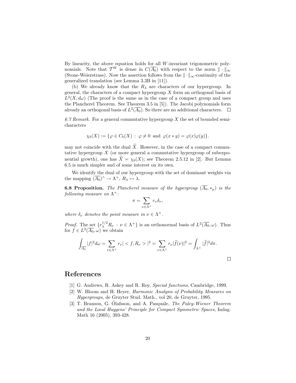By linearity, the above equation holds for all W-invariant trigonometric polynomials. Note that  $\mathcal{T}^W$  is dense in  $C(\overline{A_0})$  with respect to the norm  $\|\cdot\|_{\infty}$ (Stone-Weierstrass). Now the assertion follows from the  $\|\cdot\|_{\infty}$ -continuity of the generalized translation (see Lemma 3.3B in [11]).

(b) We already know that the  $R_{\lambda}$  are characters of our hypergroup. In general, the characters of a compact hypergroup  $X$  form an orthogonal basis of  $L^2(X, d\omega)$  (The proof is the same as in the case of a compact group and uses the Plancherel Theorem. See Theorem 3.5 in [5]). The Jacobi polynomials form already an orthogonal basis of  $L^2(\overline{A_0})$ . So there are no additional characters.

6.7 Remark. For a general commutative hypergroup  $X$  the set of bounded semicharacters

$$
\chi_b(X) := \{ \varphi \in C_b(X) : \varphi \neq 0 \text{ and } \varphi(x * y) = \varphi(x)\varphi(y) \}.
$$

may not coincide with the dual  $\hat{X}$ . However, in the case of a compact commutative hypergroup  $X$  (or more general a commutative hypergroup of subexponential growth), one has  $\hat{X} = \chi_b(X)$ ; see Theorem 2.5.12 in [2]. But Lemma 6.5 is much simpler and of some interest on its own.

We identify the dual of our hypergroup with the set of dominant weights via the mapping  $(\overline{A_0})^{\wedge} \to \Lambda^+, R_{\lambda} \mapsto \lambda$ .

**6.8 Proposition.** The Plancherel measure of the hypergroup  $(\overline{A_0}, *_{\mu})$  is the  $\emph{following measure on }\Lambda^{+}\emph{:}$ 

$$
\pi = \sum_{\nu \in \Lambda^+} r_{\nu} \delta_{\nu},
$$

where  $\delta_{\nu}$  denotes the point measure in  $\nu \in \Lambda^+$ .

*Proof.* The set  $\{r^{1/2}_{\lambda}R_{\nu} : \nu \in \Lambda^+\}$  is an orthonormal basis of  $L^2(\overline{A_0}, \omega)$ . Thus for  $f \in L^2(\overline{A_0}, \omega)$  we obtain

$$
\int_{\overline{A_0}} |f|^2 d\omega = \sum_{\nu \in \Lambda^+} r_{\nu} | \langle f, R_{\nu} \rangle |^2 = \sum_{\nu \in \Lambda^+} r_{\nu} |\widehat{f}(\nu)|^2 = \int_{\Lambda^+} |\widehat{f}|^2 d\pi.
$$

 $\Box$ 

#### References

- [1] G. Andrews, R. Askey and R. Roy, Special functions, Cambridge, 1999.
- [2] W. Bloom and H. Heyer, Harmonic Analysis of Probability Measures on Hypergroups, de Gruyter Stud. Math., vol 20, de Gruyter, 1995.
- [3] T. Branson, G. Olafsson, and A. Pasquale, *The Paley-Wiener Theorem* and the Local Huygens' Principle for Compact Symmetric Spaces, Indag. Math 16 (2005), 393-428.